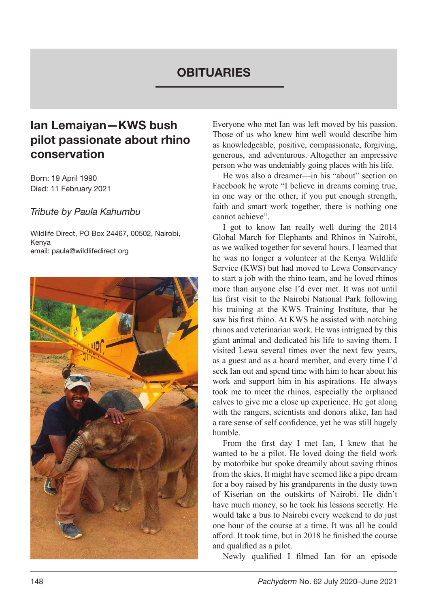## **OBITUARIES**

## Ian Lemaiyan—KWS bush pilot passionate about rhino conservation

Born: 19 April 1990 Died: 11 February 2021

*Tribute by Paula Kahumbu*

Wildlife Direct, PO Box 24467, 00502, Nairobi, Kenya email: paula@wildlifedirect.org



Everyone who met Ian was left moved by his passion. Those of us who knew him well would describe him as knowledgeable, positive, compassionate, forgiving, generous, and adventurous. Altogether an impressive person who was undeniably going places with his life.

He was also a dreamer—in his "about" section on Facebook he wrote "I believe in dreams coming true, in one way or the other, if you put enough strength, faith and smart work together, there is nothing one cannot achieve".

I got to know Ian really well during the 2014 Global March for Elephants and Rhinos in Nairobi, as we walked together for several hours. I learned that he was no longer a volunteer at the Kenya Wildlife Service (KWS) but had moved to Lewa Conservancy to start a job with the rhino team, and he loved rhinos more than anyone else I'd ever met. It was not until his first visit to the Nairobi National Park following his training at the KWS Training Institute, that he saw his first rhino. At KWS he assisted with notching rhinos and veterinarian work. He was intrigued by this giant animal and dedicated his life to saving them. I visited Lewa several times over the next few years, as a guest and as a board member, and every time I'd seek Ian out and spend time with him to hear about his work and support him in his aspirations. He always took me to meet the rhinos, especially the orphaned calves to give me a close up experience. He got along with the rangers, scientists and donors alike, Ian had a rare sense of self confidence, yet he was still hugely humble.

From the first day I met Ian, I knew that he wanted to be a pilot. He loved doing the field work by motorbike but spoke dreamily about saving rhinos from the skies. It might have seemed like a pipe dream for a boy raised by his grandparents in the dusty town of Kiserian on the outskirts of Nairobi. He didn't have much money, so he took his lessons secretly. He would take a bus to Nairobi every weekend to do just one hour of the course at a time. It was all he could afford. It took time, but in 2018 he finished the course and qualified as a pilot.

Newly qualified I filmed Ian for an episode